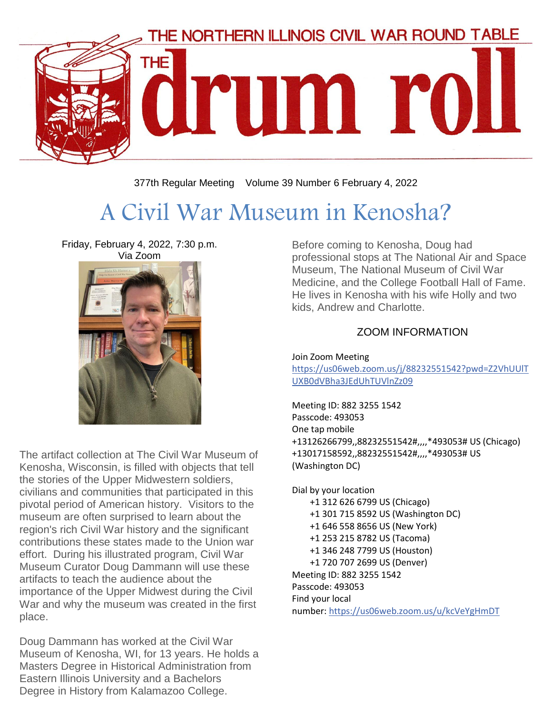

377th Regular Meeting Volume 39 Number 6 February 4, 2022

# A Civil War Museum in Kenosha?

Friday, February 4, 2022, 7:30 p.m. Via Zoom



The artifact collection at The Civil War Museum of Kenosha, Wisconsin, is filled with objects that tell the stories of the Upper Midwestern soldiers, civilians and communities that participated in this pivotal period of American history. Visitors to the museum are often surprised to learn about the region's rich Civil War history and the significant contributions these states made to the Union war effort. During his illustrated program, Civil War Museum Curator Doug Dammann will use these artifacts to teach the audience about the importance of the Upper Midwest during the Civil War and why the museum was created in the first place.

Doug Dammann has worked at the Civil War Museum of Kenosha, WI, for 13 years. He holds a Masters Degree in Historical Administration from Eastern Illinois University and a Bachelors Degree in History from Kalamazoo College.

Before coming to Kenosha, Doug had professional stops at The National Air and Space Museum, The National Museum of Civil War Medicine, and the College Football Hall of Fame. He lives in Kenosha with his wife Holly and two kids, Andrew and Charlotte.

#### ZOOM INFORMATION

Join Zoom Meeting [https://us06web.zoom.us/j/88232551542?pwd=Z2VhUUlT](https://us06web.zoom.us/j/88232551542?pwd=Z2VhUUlTUXB0dVBha3JEdUhTUVlnZz09) [UXB0dVBha3JEdUhTUVlnZz09](https://us06web.zoom.us/j/88232551542?pwd=Z2VhUUlTUXB0dVBha3JEdUhTUVlnZz09)

Meeting ID: 882 3255 1542 Passcode: 493053 One tap mobile +13126266799,,88232551542#,,,,\*493053# US (Chicago) +13017158592,,88232551542#,,,,\*493053# US (Washington DC)

Dial by your location +1 312 626 6799 US (Chicago) +1 301 715 8592 US (Washington DC) +1 646 558 8656 US (New York) +1 253 215 8782 US (Tacoma) +1 346 248 7799 US (Houston) +1 720 707 2699 US (Denver) Meeting ID: 882 3255 1542 Passcode: 493053 Find your local number: <https://us06web.zoom.us/u/kcVeYgHmDT>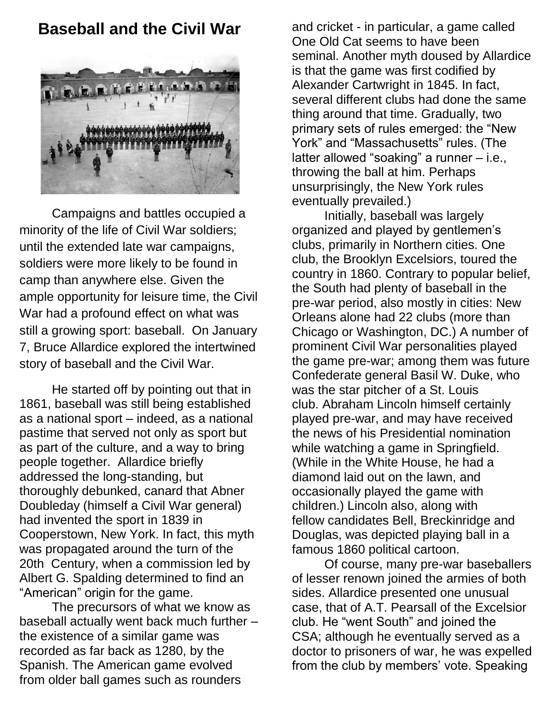### **Baseball and the Civil War**



Campaigns and battles occupied a minority of the life of Civil War soldiers; until the extended late war campaigns, soldiers were more likely to be found in camp than anywhere else. Given the ample opportunity for leisure time, the Civil War had a profound effect on what was still a growing sport: baseball. On January 7, Bruce Allardice explored the intertwined story of baseball and the Civil War.

He started off by pointing out that in 1861, baseball was still being established as a national sport – indeed, as a national pastime that served not only as sport but as part of the culture, and a way to bring people together. Allardice briefly addressed the long-standing, but thoroughly debunked, canard that Abner Doubleday (himself a Civil War general) had invented the sport in 1839 in Cooperstown, New York. In fact, this myth was propagated around the turn of the 20th Century, when a commission led by Albert G. Spalding determined to find an "American" origin for the game.

The precursors of what we know as baseball actually went back much further – the existence of a similar game was recorded as far back as 1280, by the Spanish. The American game evolved from older ball games such as rounders

and cricket - in particular, a game called One Old Cat seems to have been seminal. Another myth doused by Allardice is that the game was first codified by Alexander Cartwright in 1845. In fact, several different clubs had done the same thing around that time. Gradually, two primary sets of rules emerged: the "New York" and "Massachusetts" rules. (The latter allowed "soaking" a runner – i.e., throwing the ball at him. Perhaps unsurprisingly, the New York rules eventually prevailed.)

Initially, baseball was largely organized and played by gentlemen's clubs, primarily in Northern cities. One club, the Brooklyn Excelsiors, toured the country in 1860. Contrary to popular belief, the South had plenty of baseball in the pre-war period, also mostly in cities: New Orleans alone had 22 clubs (more than Chicago or Washington, DC.) A number of prominent Civil War personalities played the game pre-war; among them was future Confederate general Basil W. Duke, who was the star pitcher of a St. Louis club. Abraham Lincoln himself certainly played pre-war, and may have received the news of his Presidential nomination while watching a game in Springfield. (While in the White House, he had a diamond laid out on the lawn, and occasionally played the game with children.) Lincoln also, along with fellow candidates Bell, Breckinridge and Douglas, was depicted playing ball in a famous 1860 political cartoon.

Of course, many pre-war baseballers of lesser renown joined the armies of both sides. Allardice presented one unusual case, that of A.T. Pearsall of the Excelsior club. He "went South" and joined the CSA; although he eventually served as a doctor to prisoners of war, he was expelled from the club by members' vote. Speaking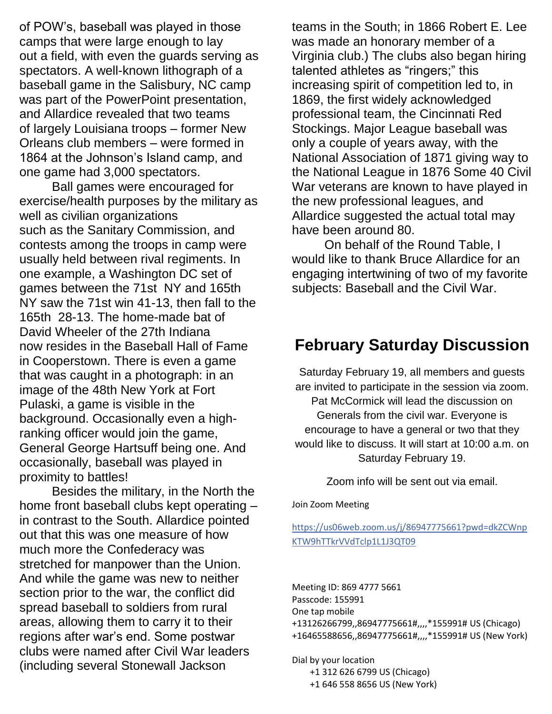of POW's, baseball was played in those camps that were large enough to lay out a field, with even the guards serving as spectators. A well-known lithograph of a baseball game in the Salisbury, NC camp was part of the PowerPoint presentation, and Allardice revealed that two teams of largely Louisiana troops – former New Orleans club members – were formed in 1864 at the Johnson's Island camp, and one game had 3,000 spectators.

Ball games were encouraged for exercise/health purposes by the military as well as civilian organizations such as the Sanitary Commission, and contests among the troops in camp were usually held between rival regiments. In one example, a Washington DC set of games between the 71st NY and 165th NY saw the 71st win 41-13, then fall to the 165th 28-13. The home-made bat of David Wheeler of the 27th Indiana now resides in the Baseball Hall of Fame in Cooperstown. There is even a game that was caught in a photograph: in an image of the 48th New York at Fort Pulaski, a game is visible in the background. Occasionally even a highranking officer would join the game, General George Hartsuff being one. And occasionally, baseball was played in proximity to battles!

Besides the military, in the North the home front baseball clubs kept operating – in contrast to the South. Allardice pointed out that this was one measure of how much more the Confederacy was stretched for manpower than the Union. And while the game was new to neither section prior to the war, the conflict did spread baseball to soldiers from rural areas, allowing them to carry it to their regions after war's end. Some postwar clubs were named after Civil War leaders (including several Stonewall Jackson

teams in the South; in 1866 Robert E. Lee was made an honorary member of a Virginia club.) The clubs also began hiring talented athletes as "ringers;" this increasing spirit of competition led to, in 1869, the first widely acknowledged professional team, the Cincinnati Red Stockings. Major League baseball was only a couple of years away, with the National Association of 1871 giving way to the National League in 1876 Some 40 Civil War veterans are known to have played in the new professional leagues, and Allardice suggested the actual total may have been around 80.

On behalf of the Round Table, I would like to thank Bruce Allardice for an engaging intertwining of two of my favorite subjects: Baseball and the Civil War.

## **February Saturday Discussion**

Saturday February 19, all members and guests are invited to participate in the session via zoom. Pat McCormick will lead the discussion on Generals from the civil war. Everyone is encourage to have a general or two that they would like to discuss. It will start at 10:00 a.m. on Saturday February 19.

Zoom info will be sent out via email.

Join Zoom Meeting

[https://us06web.zoom.us/j/86947775661?pwd=dkZCWnp](https://us06web.zoom.us/j/86947775661?pwd=dkZCWnpKTW9hTTkrVVdTclp1L1J3QT09) [KTW9hTTkrVVdTclp1L1J3QT09](https://us06web.zoom.us/j/86947775661?pwd=dkZCWnpKTW9hTTkrVVdTclp1L1J3QT09)

Meeting ID: 869 4777 5661 Passcode: 155991 One tap mobile +13126266799,,86947775661#,,,,\*155991# US (Chicago) +16465588656,,86947775661#,,,,\*155991# US (New York)

Dial by your location +1 312 626 6799 US (Chicago) +1 646 558 8656 US (New York)